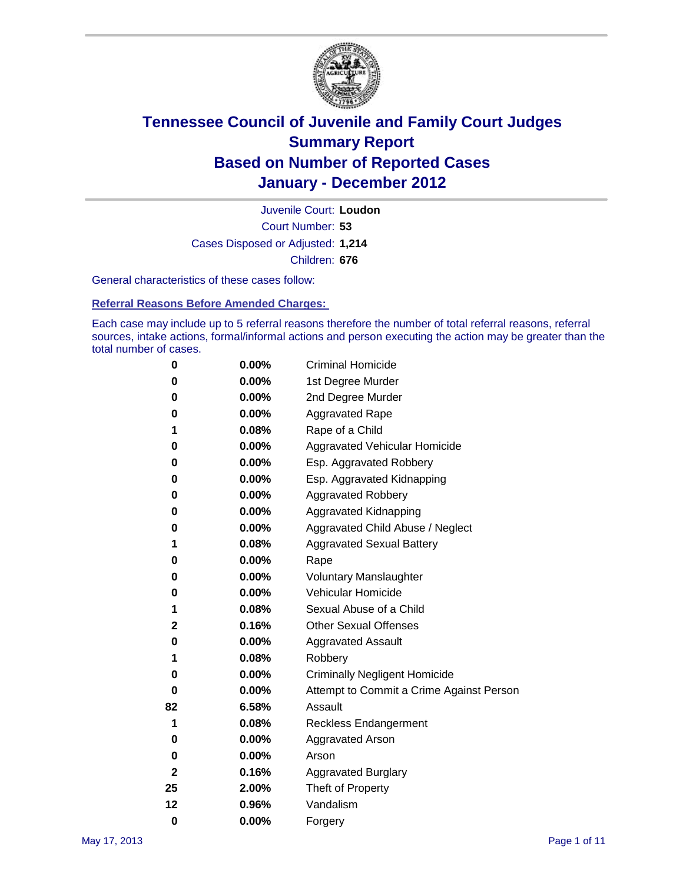

Court Number: **53** Juvenile Court: **Loudon** Cases Disposed or Adjusted: **1,214** Children: **676**

General characteristics of these cases follow:

**Referral Reasons Before Amended Charges:** 

Each case may include up to 5 referral reasons therefore the number of total referral reasons, referral sources, intake actions, formal/informal actions and person executing the action may be greater than the total number of cases.

| 0  | 0.00% | <b>Criminal Homicide</b>                 |
|----|-------|------------------------------------------|
| 0  | 0.00% | 1st Degree Murder                        |
| 0  | 0.00% | 2nd Degree Murder                        |
| 0  | 0.00% | <b>Aggravated Rape</b>                   |
| 1  | 0.08% | Rape of a Child                          |
| 0  | 0.00% | Aggravated Vehicular Homicide            |
| 0  | 0.00% | Esp. Aggravated Robbery                  |
| 0  | 0.00% | Esp. Aggravated Kidnapping               |
| 0  | 0.00% | <b>Aggravated Robbery</b>                |
| 0  | 0.00% | Aggravated Kidnapping                    |
| 0  | 0.00% | Aggravated Child Abuse / Neglect         |
| 1  | 0.08% | <b>Aggravated Sexual Battery</b>         |
| 0  | 0.00% | Rape                                     |
| 0  | 0.00% | <b>Voluntary Manslaughter</b>            |
| 0  | 0.00% | Vehicular Homicide                       |
| 1  | 0.08% | Sexual Abuse of a Child                  |
| 2  | 0.16% | <b>Other Sexual Offenses</b>             |
| 0  | 0.00% | <b>Aggravated Assault</b>                |
| 1  | 0.08% | Robbery                                  |
| 0  | 0.00% | <b>Criminally Negligent Homicide</b>     |
| 0  | 0.00% | Attempt to Commit a Crime Against Person |
| 82 | 6.58% | Assault                                  |
| 1  | 0.08% | <b>Reckless Endangerment</b>             |
| 0  | 0.00% | <b>Aggravated Arson</b>                  |
| 0  | 0.00% | Arson                                    |
| 2  | 0.16% | <b>Aggravated Burglary</b>               |
| 25 | 2.00% | Theft of Property                        |
| 12 | 0.96% | Vandalism                                |
| 0  | 0.00% | Forgery                                  |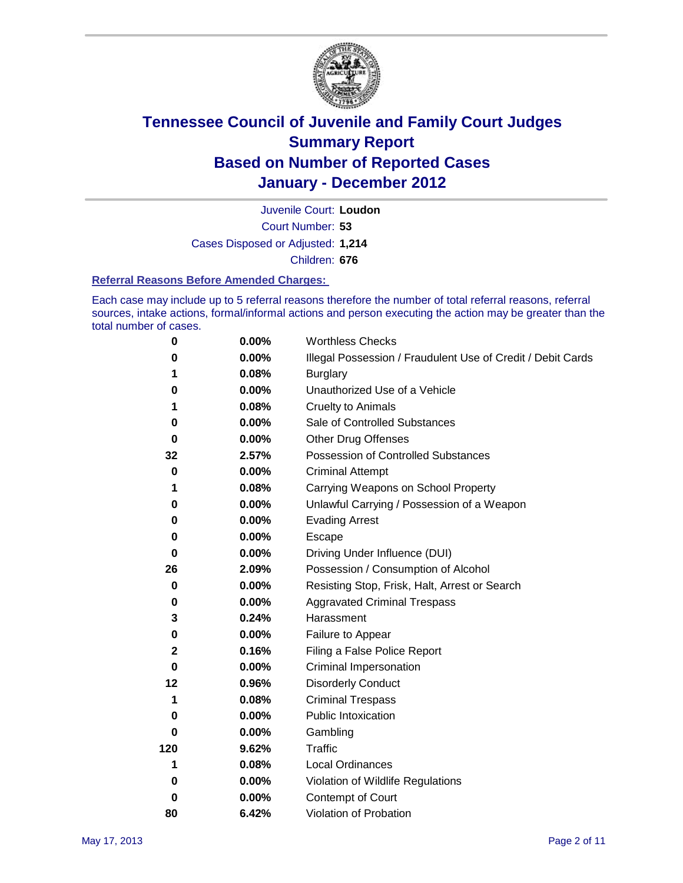

Court Number: **53** Juvenile Court: **Loudon** Cases Disposed or Adjusted: **1,214** Children: **676**

#### **Referral Reasons Before Amended Charges:**

Each case may include up to 5 referral reasons therefore the number of total referral reasons, referral sources, intake actions, formal/informal actions and person executing the action may be greater than the total number of cases.

| $\pmb{0}$   | 0.00%    | <b>Worthless Checks</b>                                     |
|-------------|----------|-------------------------------------------------------------|
| 0           | 0.00%    | Illegal Possession / Fraudulent Use of Credit / Debit Cards |
| 1           | 0.08%    | <b>Burglary</b>                                             |
| 0           | 0.00%    | Unauthorized Use of a Vehicle                               |
| 1           | 0.08%    | <b>Cruelty to Animals</b>                                   |
| 0           | 0.00%    | Sale of Controlled Substances                               |
| $\bf{0}$    | $0.00\%$ | <b>Other Drug Offenses</b>                                  |
| 32          | 2.57%    | Possession of Controlled Substances                         |
| 0           | $0.00\%$ | <b>Criminal Attempt</b>                                     |
| 1           | 0.08%    | Carrying Weapons on School Property                         |
| 0           | $0.00\%$ | Unlawful Carrying / Possession of a Weapon                  |
| 0           | $0.00\%$ | <b>Evading Arrest</b>                                       |
| 0           | 0.00%    | Escape                                                      |
| 0           | 0.00%    | Driving Under Influence (DUI)                               |
| 26          | 2.09%    | Possession / Consumption of Alcohol                         |
| 0           | 0.00%    | Resisting Stop, Frisk, Halt, Arrest or Search               |
| 0           | $0.00\%$ | <b>Aggravated Criminal Trespass</b>                         |
| 3           | 0.24%    | Harassment                                                  |
| 0           | 0.00%    | Failure to Appear                                           |
| $\mathbf 2$ | 0.16%    | Filing a False Police Report                                |
| $\bf{0}$    | 0.00%    | Criminal Impersonation                                      |
| 12          | 0.96%    | <b>Disorderly Conduct</b>                                   |
| 1           | 0.08%    | <b>Criminal Trespass</b>                                    |
| 0           | $0.00\%$ | Public Intoxication                                         |
| 0           | $0.00\%$ | Gambling                                                    |
| 120         | 9.62%    | <b>Traffic</b>                                              |
| 1           | 0.08%    | <b>Local Ordinances</b>                                     |
| 0           | $0.00\%$ | Violation of Wildlife Regulations                           |
| 0           | $0.00\%$ | Contempt of Court                                           |
| 80          | 6.42%    | Violation of Probation                                      |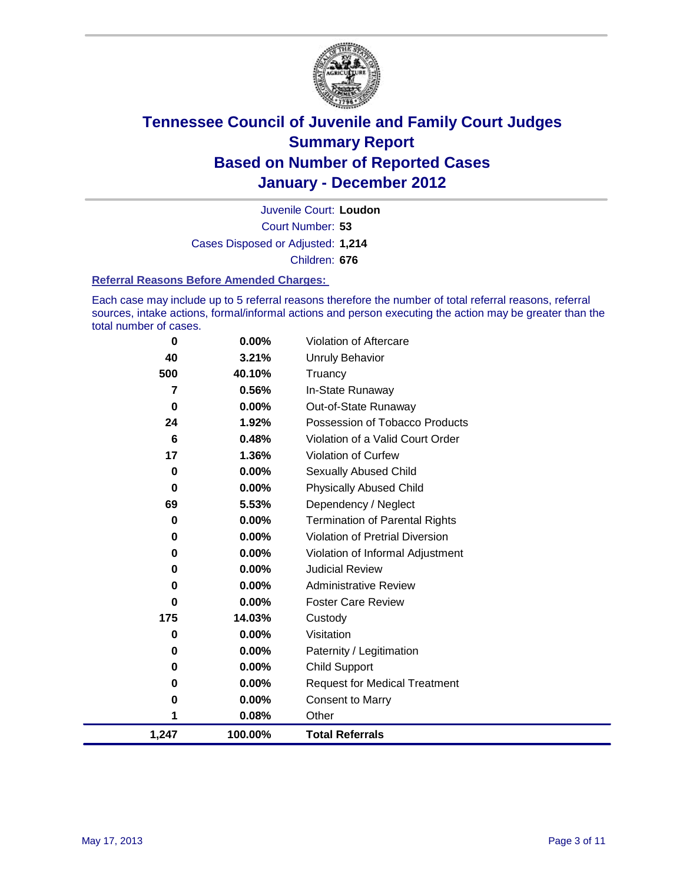

Court Number: **53** Juvenile Court: **Loudon** Cases Disposed or Adjusted: **1,214** Children: **676**

#### **Referral Reasons Before Amended Charges:**

Each case may include up to 5 referral reasons therefore the number of total referral reasons, referral sources, intake actions, formal/informal actions and person executing the action may be greater than the total number of cases.

| 0     | 0.00%    | Violation of Aftercare                 |
|-------|----------|----------------------------------------|
| 40    | 3.21%    | <b>Unruly Behavior</b>                 |
| 500   | 40.10%   | Truancy                                |
| 7     | 0.56%    | In-State Runaway                       |
| 0     | 0.00%    | Out-of-State Runaway                   |
| 24    | 1.92%    | Possession of Tobacco Products         |
| 6     | 0.48%    | Violation of a Valid Court Order       |
| 17    | 1.36%    | Violation of Curfew                    |
| 0     | $0.00\%$ | Sexually Abused Child                  |
| 0     | 0.00%    | <b>Physically Abused Child</b>         |
| 69    | 5.53%    | Dependency / Neglect                   |
| 0     | 0.00%    | <b>Termination of Parental Rights</b>  |
| 0     | 0.00%    | <b>Violation of Pretrial Diversion</b> |
| 0     | 0.00%    | Violation of Informal Adjustment       |
| 0     | 0.00%    | <b>Judicial Review</b>                 |
| 0     | 0.00%    | <b>Administrative Review</b>           |
| 0     | $0.00\%$ | <b>Foster Care Review</b>              |
| 175   | 14.03%   | Custody                                |
| 0     | 0.00%    | Visitation                             |
| 0     | 0.00%    | Paternity / Legitimation               |
| 0     | 0.00%    | <b>Child Support</b>                   |
| 0     | 0.00%    | <b>Request for Medical Treatment</b>   |
| 0     | 0.00%    | <b>Consent to Marry</b>                |
| 1     | 0.08%    | Other                                  |
| 1,247 | 100.00%  | <b>Total Referrals</b>                 |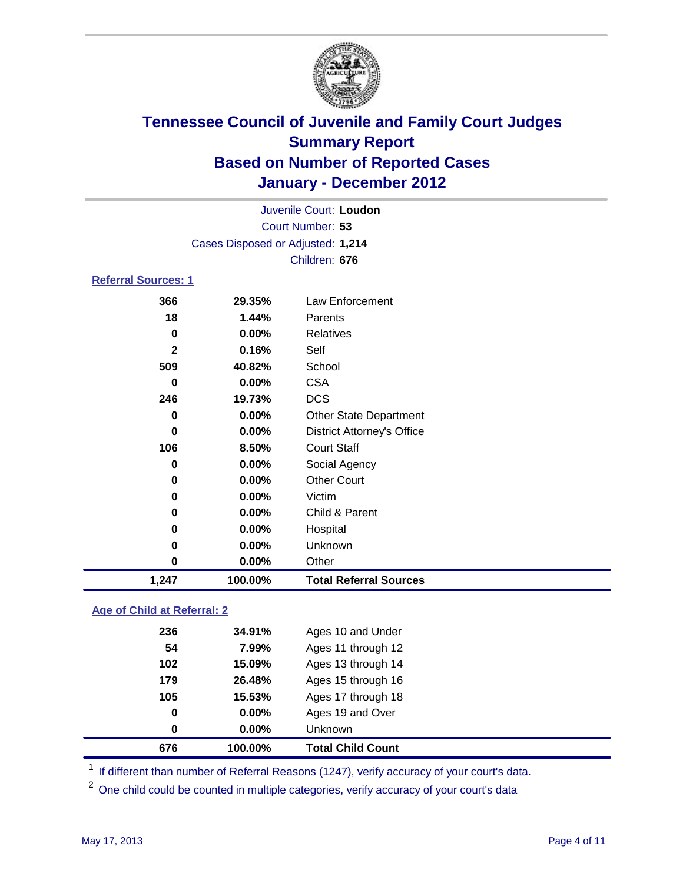

| 1,247                      | 100.00%                           | <b>Total Referral Sources</b>     |  |
|----------------------------|-----------------------------------|-----------------------------------|--|
| 0                          | 0.00%                             | Other                             |  |
| 0                          | 0.00%                             | Unknown                           |  |
| 0                          | 0.00%                             | Hospital                          |  |
| 0                          | $0.00\%$                          | Child & Parent                    |  |
| 0                          | 0.00%                             | Victim                            |  |
| 0                          | 0.00%                             | <b>Other Court</b>                |  |
| 0                          | 0.00%                             | Social Agency                     |  |
| 106                        | 8.50%                             | <b>Court Staff</b>                |  |
| 0                          | 0.00%                             | <b>District Attorney's Office</b> |  |
| 0                          | $0.00\%$                          | <b>Other State Department</b>     |  |
| 246                        | 19.73%                            | <b>DCS</b>                        |  |
| 0                          | 0.00%                             | <b>CSA</b>                        |  |
| 509                        | 40.82%                            | School                            |  |
| $\mathbf{2}$               | 0.16%                             | Self                              |  |
| $\mathbf 0$                | 0.00%                             | <b>Relatives</b>                  |  |
| 18                         | 1.44%                             | Parents                           |  |
| 366                        | 29.35%                            | Law Enforcement                   |  |
| <b>Referral Sources: 1</b> |                                   |                                   |  |
|                            |                                   | Children: 676                     |  |
|                            | Cases Disposed or Adjusted: 1,214 |                                   |  |
|                            |                                   | Court Number: 53                  |  |
|                            |                                   | Juvenile Court: Loudon            |  |
|                            |                                   |                                   |  |

### **Age of Child at Referral: 2**

| 676 | 100.00%  | <b>Total Child Count</b> |  |
|-----|----------|--------------------------|--|
| 0   | $0.00\%$ | <b>Unknown</b>           |  |
| 0   | 0.00%    | Ages 19 and Over         |  |
| 105 | 15.53%   | Ages 17 through 18       |  |
| 179 | 26.48%   | Ages 15 through 16       |  |
| 102 | 15.09%   | Ages 13 through 14       |  |
| 54  | 7.99%    | Ages 11 through 12       |  |
| 236 | 34.91%   | Ages 10 and Under        |  |
|     |          |                          |  |

<sup>1</sup> If different than number of Referral Reasons (1247), verify accuracy of your court's data.

<sup>2</sup> One child could be counted in multiple categories, verify accuracy of your court's data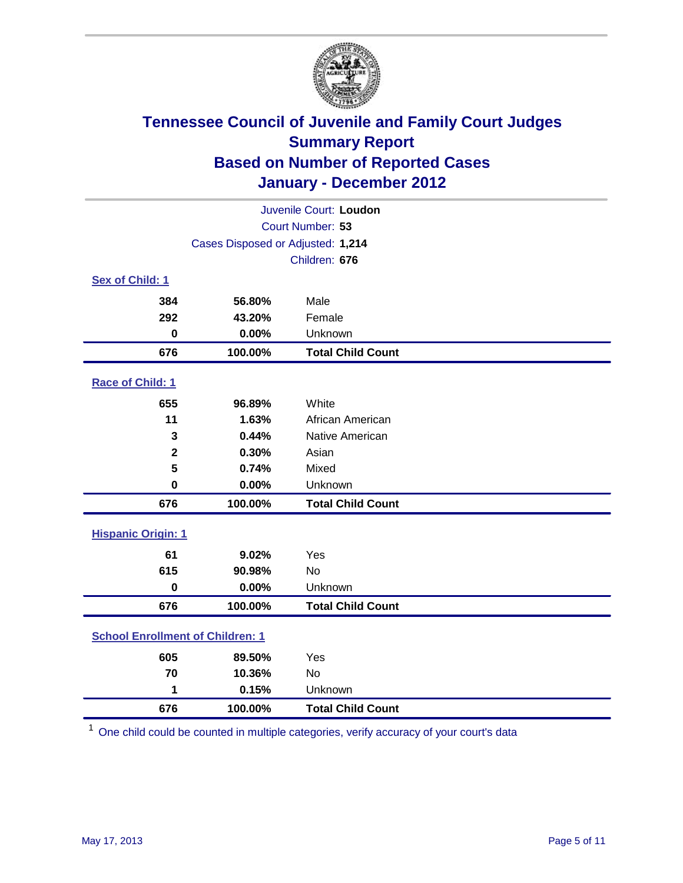

|                                         | Juvenile Court: Loudon            |                          |  |  |
|-----------------------------------------|-----------------------------------|--------------------------|--|--|
|                                         |                                   | Court Number: 53         |  |  |
|                                         | Cases Disposed or Adjusted: 1,214 |                          |  |  |
|                                         |                                   | Children: 676            |  |  |
| Sex of Child: 1                         |                                   |                          |  |  |
| 384                                     | 56.80%                            | Male                     |  |  |
| 292                                     | 43.20%                            | Female                   |  |  |
| $\mathbf 0$                             | 0.00%                             | Unknown                  |  |  |
| 676                                     | 100.00%                           | <b>Total Child Count</b> |  |  |
| Race of Child: 1                        |                                   |                          |  |  |
| 655                                     | 96.89%                            | White                    |  |  |
| 11                                      | 1.63%                             | African American         |  |  |
| 3                                       | 0.44%                             | Native American          |  |  |
| $\mathbf{2}$                            | 0.30%                             | Asian                    |  |  |
| 5                                       | 0.74%                             | Mixed                    |  |  |
| $\mathbf 0$                             | 0.00%                             | Unknown                  |  |  |
| 676                                     | 100.00%                           | <b>Total Child Count</b> |  |  |
| <b>Hispanic Origin: 1</b>               |                                   |                          |  |  |
| 61                                      | 9.02%                             | Yes                      |  |  |
| 615                                     | 90.98%                            | No                       |  |  |
| $\mathbf 0$                             | 0.00%                             | Unknown                  |  |  |
| 676                                     | 100.00%                           | <b>Total Child Count</b> |  |  |
| <b>School Enrollment of Children: 1</b> |                                   |                          |  |  |
| 605                                     | 89.50%                            | Yes                      |  |  |
| 70                                      | 10.36%                            | <b>No</b>                |  |  |
| 1                                       | 0.15%                             | Unknown                  |  |  |
| 676                                     | 100.00%                           | <b>Total Child Count</b> |  |  |

One child could be counted in multiple categories, verify accuracy of your court's data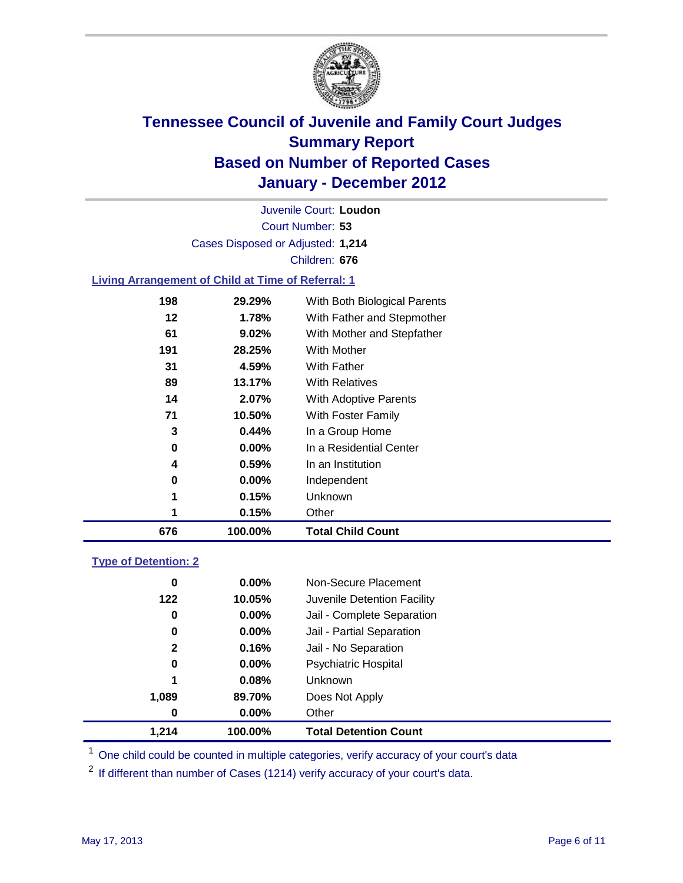

Court Number: **53** Juvenile Court: **Loudon** Cases Disposed or Adjusted: **1,214** Children: **676**

#### **Living Arrangement of Child at Time of Referral: 1**

| 676 | 100.00%  | <b>Total Child Count</b>     |
|-----|----------|------------------------------|
| 1   | 0.15%    | Other                        |
| 1   | 0.15%    | Unknown                      |
| 0   | $0.00\%$ | Independent                  |
| 4   | 0.59%    | In an Institution            |
| 0   | $0.00\%$ | In a Residential Center      |
| 3   | 0.44%    | In a Group Home              |
| 71  | 10.50%   | With Foster Family           |
| 14  | 2.07%    | With Adoptive Parents        |
| 89  | 13.17%   | <b>With Relatives</b>        |
| 31  | 4.59%    | <b>With Father</b>           |
| 191 | 28.25%   | With Mother                  |
| 61  | 9.02%    | With Mother and Stepfather   |
| 12  | 1.78%    | With Father and Stepmother   |
| 198 | 29.29%   | With Both Biological Parents |
|     |          |                              |

### **Type of Detention: 2**

| 1.214        | 100.00%  | <b>Total Detention Count</b> |  |
|--------------|----------|------------------------------|--|
| $\bf{0}$     | $0.00\%$ | Other                        |  |
| 1,089        | 89.70%   | Does Not Apply               |  |
| 1            | 0.08%    | Unknown                      |  |
| 0            | $0.00\%$ | <b>Psychiatric Hospital</b>  |  |
| $\mathbf{2}$ | 0.16%    | Jail - No Separation         |  |
| 0            | $0.00\%$ | Jail - Partial Separation    |  |
| 0            | 0.00%    | Jail - Complete Separation   |  |
| 122          | 10.05%   | Juvenile Detention Facility  |  |
| 0            | $0.00\%$ | Non-Secure Placement         |  |
|              |          |                              |  |

<sup>1</sup> One child could be counted in multiple categories, verify accuracy of your court's data

<sup>2</sup> If different than number of Cases (1214) verify accuracy of your court's data.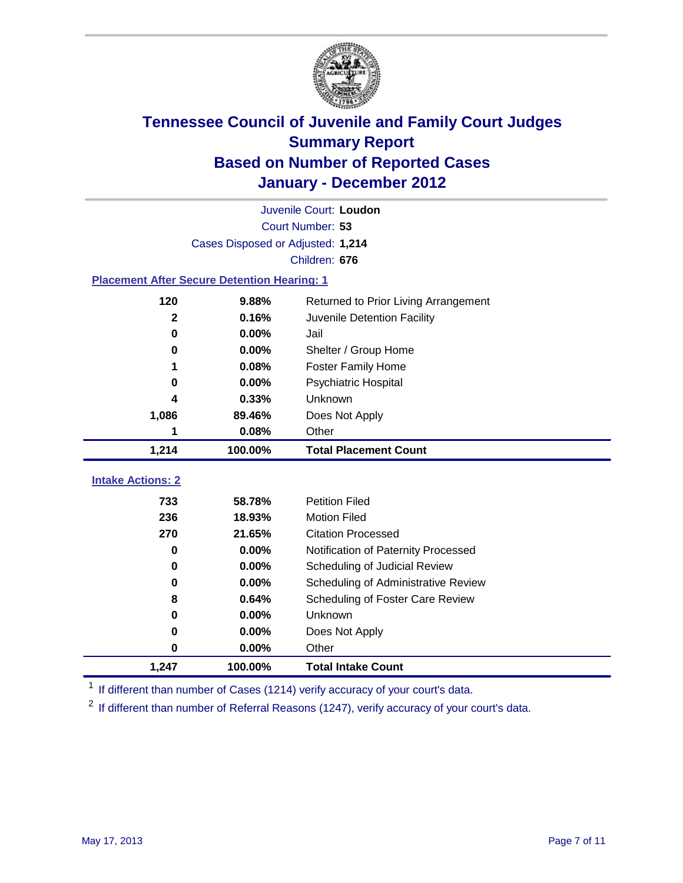

|                                                    |                                   | Juvenile Court: Loudon               |
|----------------------------------------------------|-----------------------------------|--------------------------------------|
|                                                    |                                   | Court Number: 53                     |
|                                                    | Cases Disposed or Adjusted: 1,214 |                                      |
|                                                    |                                   | Children: 676                        |
| <b>Placement After Secure Detention Hearing: 1</b> |                                   |                                      |
| 120                                                | 9.88%                             | Returned to Prior Living Arrangement |
| $\mathbf{2}$                                       | 0.16%                             | Juvenile Detention Facility          |
| $\bf{0}$                                           | 0.00%                             | Jail                                 |
| 0                                                  | 0.00%                             | Shelter / Group Home                 |
|                                                    | 0.08%                             | <b>Foster Family Home</b>            |
| $\bf{0}$                                           | 0.00%                             | Psychiatric Hospital                 |
| 4                                                  | 0.33%                             | Unknown                              |
| 1,086                                              | 89.46%                            | Does Not Apply                       |
| 1                                                  | 0.08%                             | Other                                |
| 1,214                                              | 100.00%                           | <b>Total Placement Count</b>         |
|                                                    |                                   |                                      |
| <b>Intake Actions: 2</b>                           |                                   |                                      |
| 733                                                | 58.78%                            | <b>Petition Filed</b>                |
| 236                                                | 18.93%                            | <b>Motion Filed</b>                  |
| 270                                                | 21.65%                            | <b>Citation Processed</b>            |
| $\bf{0}$                                           | 0.00%                             | Notification of Paternity Processed  |
| $\bf{0}$                                           | 0.00%                             | Scheduling of Judicial Review        |
| 0                                                  | 0.00%                             | Scheduling of Administrative Review  |
| 8                                                  | 0.64%                             | Scheduling of Foster Care Review     |
| $\bf{0}$                                           | 0.00%                             | Unknown                              |
| $\bf{0}$                                           | 0.00%                             | Does Not Apply                       |
| 0                                                  | 0.00%                             | Other                                |
| 1,247                                              | 100.00%                           | <b>Total Intake Count</b>            |

<sup>1</sup> If different than number of Cases (1214) verify accuracy of your court's data.

<sup>2</sup> If different than number of Referral Reasons (1247), verify accuracy of your court's data.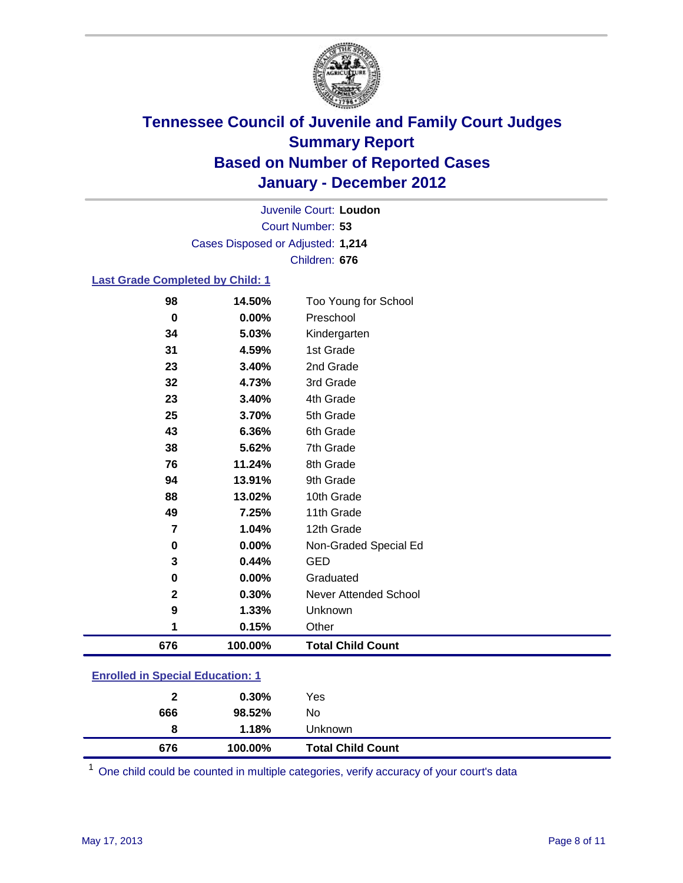

Court Number: **53** Juvenile Court: **Loudon** Cases Disposed or Adjusted: **1,214** Children: **676**

#### **Last Grade Completed by Child: 1**

| 11.24%<br>13.91%<br>13.02%<br>7.25%<br>1.04%<br>0.00%<br>0.44%<br>0.00%<br>0.30%<br>1.33%<br>0.15% | 8th Grade<br>9th Grade<br>10th Grade<br>11th Grade<br>12th Grade<br>Non-Graded Special Ed<br><b>GED</b><br>Graduated<br>Never Attended School<br>Unknown<br>Other |
|----------------------------------------------------------------------------------------------------|-------------------------------------------------------------------------------------------------------------------------------------------------------------------|
|                                                                                                    |                                                                                                                                                                   |
|                                                                                                    |                                                                                                                                                                   |
|                                                                                                    |                                                                                                                                                                   |
|                                                                                                    |                                                                                                                                                                   |
|                                                                                                    |                                                                                                                                                                   |
|                                                                                                    |                                                                                                                                                                   |
|                                                                                                    |                                                                                                                                                                   |
|                                                                                                    |                                                                                                                                                                   |
|                                                                                                    |                                                                                                                                                                   |
|                                                                                                    |                                                                                                                                                                   |
|                                                                                                    |                                                                                                                                                                   |
| 5.62%                                                                                              | 7th Grade                                                                                                                                                         |
| 6.36%                                                                                              | 6th Grade                                                                                                                                                         |
| 3.70%                                                                                              | 5th Grade                                                                                                                                                         |
| 3.40%                                                                                              | 4th Grade                                                                                                                                                         |
| 4.73%                                                                                              | 3rd Grade                                                                                                                                                         |
| 3.40%                                                                                              | 2nd Grade                                                                                                                                                         |
|                                                                                                    | 1st Grade                                                                                                                                                         |
| 4.59%                                                                                              |                                                                                                                                                                   |
| 0.00%<br>5.03%                                                                                     | Preschool<br>Kindergarten                                                                                                                                         |
|                                                                                                    |                                                                                                                                                                   |

### **Enrolled in Special Education: 1**

One child could be counted in multiple categories, verify accuracy of your court's data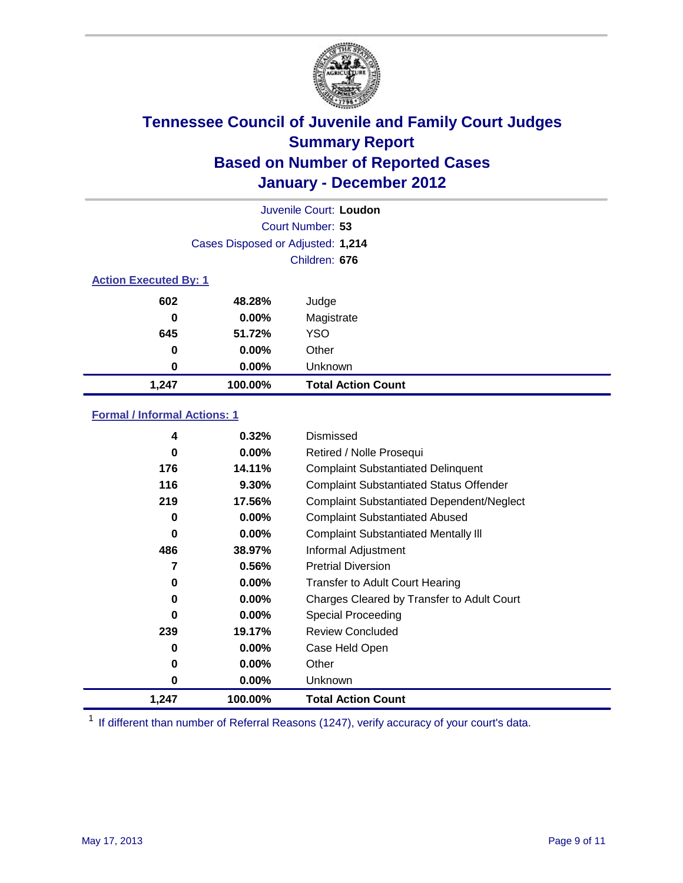

|               | Juvenile Court: Loudon            |                           |  |  |  |
|---------------|-----------------------------------|---------------------------|--|--|--|
|               |                                   | Court Number: 53          |  |  |  |
|               | Cases Disposed or Adjusted: 1,214 |                           |  |  |  |
| Children: 676 |                                   |                           |  |  |  |
|               | <b>Action Executed By: 1</b>      |                           |  |  |  |
| 602           | 48.28%                            | Judge                     |  |  |  |
| 0             | $0.00\%$                          | Magistrate                |  |  |  |
| 645           | 51.72%                            | <b>YSO</b>                |  |  |  |
| 0             | $0.00\%$                          | Other                     |  |  |  |
| 0             | 0.00%                             | Unknown                   |  |  |  |
| 1,247         | 100.00%                           | <b>Total Action Count</b> |  |  |  |

### **Formal / Informal Actions: 1**

| 4     | 0.32%    | Dismissed                                        |
|-------|----------|--------------------------------------------------|
| 0     | $0.00\%$ | Retired / Nolle Prosequi                         |
| 176   | 14.11%   | <b>Complaint Substantiated Delinquent</b>        |
| 116   | 9.30%    | <b>Complaint Substantiated Status Offender</b>   |
| 219   | 17.56%   | <b>Complaint Substantiated Dependent/Neglect</b> |
| 0     | 0.00%    | <b>Complaint Substantiated Abused</b>            |
| 0     | $0.00\%$ | <b>Complaint Substantiated Mentally III</b>      |
| 486   | 38.97%   | Informal Adjustment                              |
| 7     | 0.56%    | <b>Pretrial Diversion</b>                        |
| 0     | $0.00\%$ | <b>Transfer to Adult Court Hearing</b>           |
| 0     | $0.00\%$ | Charges Cleared by Transfer to Adult Court       |
| 0     | $0.00\%$ | Special Proceeding                               |
| 239   | 19.17%   | <b>Review Concluded</b>                          |
| 0     | $0.00\%$ | Case Held Open                                   |
| 0     | $0.00\%$ | Other                                            |
| 0     | $0.00\%$ | <b>Unknown</b>                                   |
| 1,247 | 100.00%  | <b>Total Action Count</b>                        |

<sup>1</sup> If different than number of Referral Reasons (1247), verify accuracy of your court's data.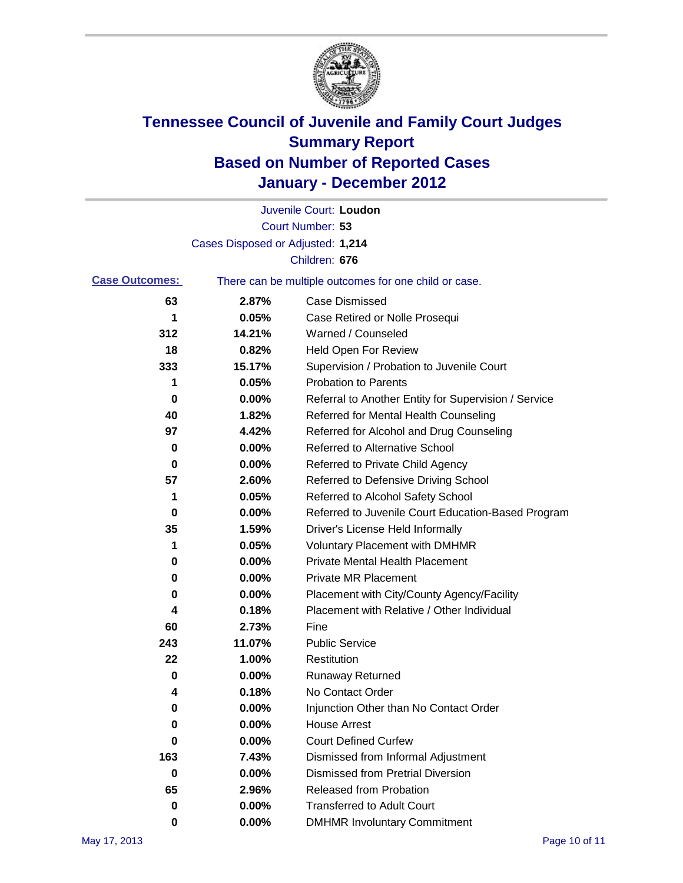

|                       |                                   | Juvenile Court: Loudon                                |
|-----------------------|-----------------------------------|-------------------------------------------------------|
|                       |                                   | Court Number: 53                                      |
|                       | Cases Disposed or Adjusted: 1,214 |                                                       |
|                       |                                   | Children: 676                                         |
| <b>Case Outcomes:</b> |                                   | There can be multiple outcomes for one child or case. |
| 63                    | 2.87%                             | <b>Case Dismissed</b>                                 |
| 1                     | 0.05%                             | Case Retired or Nolle Prosequi                        |
| 312                   | 14.21%                            | Warned / Counseled                                    |
| 18                    | 0.82%                             | <b>Held Open For Review</b>                           |
| 333                   | 15.17%                            | Supervision / Probation to Juvenile Court             |
| 1                     | 0.05%                             | <b>Probation to Parents</b>                           |
| 0                     | 0.00%                             | Referral to Another Entity for Supervision / Service  |
| 40                    | 1.82%                             | Referred for Mental Health Counseling                 |
| 97                    | 4.42%                             | Referred for Alcohol and Drug Counseling              |
| 0                     | 0.00%                             | <b>Referred to Alternative School</b>                 |
| 0                     | 0.00%                             | Referred to Private Child Agency                      |
| 57                    | 2.60%                             | Referred to Defensive Driving School                  |
| 1                     | 0.05%                             | Referred to Alcohol Safety School                     |
| 0                     | 0.00%                             | Referred to Juvenile Court Education-Based Program    |
| 35                    | 1.59%                             | Driver's License Held Informally                      |
| 1                     | 0.05%                             | <b>Voluntary Placement with DMHMR</b>                 |
| 0                     | 0.00%                             | <b>Private Mental Health Placement</b>                |
| 0                     | 0.00%                             | <b>Private MR Placement</b>                           |
| 0                     | 0.00%                             | Placement with City/County Agency/Facility            |
| 4                     | 0.18%                             | Placement with Relative / Other Individual            |
| 60                    | 2.73%                             | Fine                                                  |
| 243                   | 11.07%                            | <b>Public Service</b>                                 |
| 22                    | 1.00%                             | Restitution                                           |
| 0                     | 0.00%                             | <b>Runaway Returned</b>                               |
| 4                     | 0.18%                             | No Contact Order                                      |
| 0                     | 0.00%                             | Injunction Other than No Contact Order                |
| 0                     | 0.00%                             | <b>House Arrest</b>                                   |
| 0                     | 0.00%                             | <b>Court Defined Curfew</b>                           |
| 163                   | 7.43%                             | Dismissed from Informal Adjustment                    |
| 0                     | 0.00%                             | <b>Dismissed from Pretrial Diversion</b>              |
| 65                    | 2.96%                             | Released from Probation                               |
| 0                     | 0.00%                             | <b>Transferred to Adult Court</b>                     |
| 0                     | $0.00\%$                          | <b>DMHMR Involuntary Commitment</b>                   |